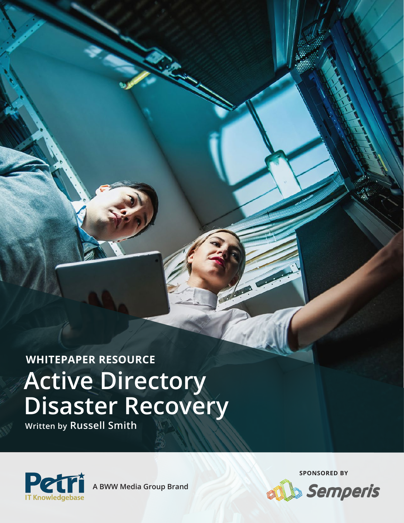**Active Directory Disaster Recovery WHITEPAPER RESOURCE**

port

**Written by Russell Smith**



**A BWW Media Group Brand**

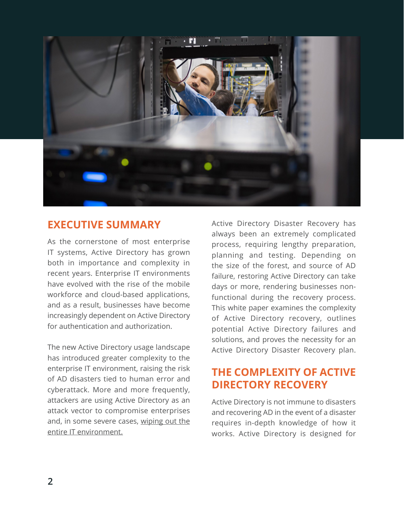

## **EXECUTIVE SUMMARY**

As the cornerstone of most enterprise IT systems, Active Directory has grown both in importance and complexity in recent years. Enterprise IT environments have evolved with the rise of the mobile workforce and cloud-based applications, and as a result, businesses have become increasingly dependent on Active Directory for authentication and authorization.

The new Active Directory usage landscape has introduced greater complexity to the enterprise IT environment, raising the risk of AD disasters tied to human error and cyberattack. More and more frequently, attackers are using Active Directory as an attack vector to compromise enterprises and, in some severe cases, wiping out the entire IT environment.

Active Directory Disaster Recovery has always been an extremely complicated process, requiring lengthy preparation, planning and testing. Depending on the size of the forest, and source of AD failure, restoring Active Directory can take days or more, rendering businesses nonfunctional during the recovery process. This white paper examines the complexity of Active Directory recovery, outlines potential Active Directory failures and solutions, and proves the necessity for an Active Directory Disaster Recovery plan.

# **THE COMPLEXITY OF ACTIVE DIRECTORY RECOVERY**

Active Directory is not immune to disasters and recovering AD in the event of a disaster requires in-depth knowledge of how it works. Active Directory is designed for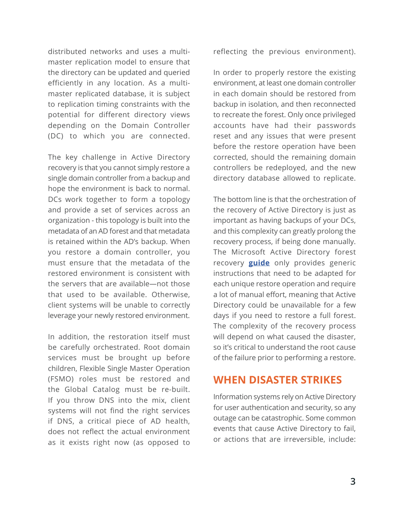distributed networks and uses a multimaster replication model to ensure that the directory can be updated and queried efficiently in any location. As a multimaster replicated database, it is subject to replication timing constraints with the potential for different directory views depending on the Domain Controller (DC) to which you are connected.

The key challenge in Active Directory recovery is that you cannot simply restore a single domain controller from a backup and hope the environment is back to normal. DCs work together to form a topology and provide a set of services across an organization - this topology is built into the metadata of an AD forest and that metadata is retained within the AD's backup. When you restore a domain controller, you must ensure that the metadata of the restored environment is consistent with the servers that are available—not those that used to be available. Otherwise, client systems will be unable to correctly leverage your newly restored environment.

In addition, the restoration itself must be carefully orchestrated. Root domain services must be brought up before children, Flexible Single Master Operation (FSMO) roles must be restored and the Global Catalog must be re-built. If you throw DNS into the mix, client systems will not find the right services if DNS, a critical piece of AD health, does not reflect the actual environment as it exists right now (as opposed to

reflecting the previous environment).

In order to properly restore the existing environment, at least one domain controller in each domain should be restored from backup in isolation, and then reconnected to recreate the forest. Only once privileged accounts have had their passwords reset and any issues that were present before the restore operation have been corrected, should the remaining domain controllers be redeployed, and the new directory database allowed to replicate.

The bottom line is that the orchestration of the recovery of Active Directory is just as important as having backups of your DCs, and this complexity can greatly prolong the recovery process, if being done manually. The Microsoft Active Directory forest recovery **[guide](https://docs.microsoft.com/en-us/windows-server/identity/ad-ds/manage/ad-forest-recovery-guide)** only provides generic instructions that need to be adapted for each unique restore operation and require a lot of manual effort, meaning that Active Directory could be unavailable for a few days if you need to restore a full forest. The complexity of the recovery process will depend on what caused the disaster, so it's critical to understand the root cause of the failure prior to performing a restore.

### **WHEN DISASTER STRIKES**

Information systems rely on Active Directory for user authentication and security, so any outage can be catastrophic. Some common events that cause Active Directory to fail, or actions that are irreversible, include: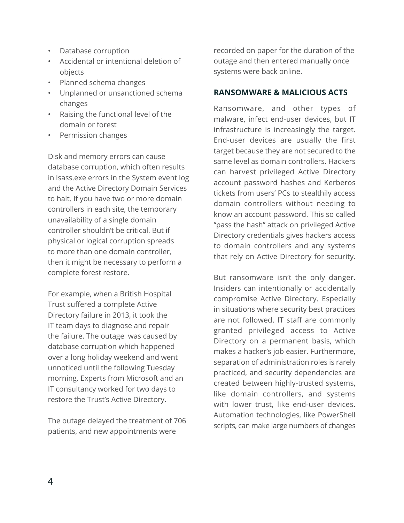- Database corruption
- Accidental or intentional deletion of objects
- Planned schema changes
- Unplanned or unsanctioned schema changes
- Raising the functional level of the domain or forest
- Permission changes

Disk and memory errors can cause database corruption, which often results in lsass.exe errors in the System event log and the Active Directory Domain Services to halt. If you have two or more domain controllers in each site, the temporary unavailability of a single domain controller shouldn't be critical. But if physical or logical corruption spreads to more than one domain controller, then it might be necessary to perform a complete forest restore.

For example, when a British Hospital Trust suffered a complete Active Directory failure in 2013, it took the IT team days to diagnose and repair the failure. The outage was caused by database corruption which happened over a long holiday weekend and went unnoticed until the following Tuesday morning. Experts from Microsoft and an IT consultancy worked for two days to restore the Trust's Active Directory.

The outage delayed the treatment of 706 patients, and new appointments were

recorded on paper for the duration of the outage and then entered manually once systems were back online.

### **RANSOMWARE & MALICIOUS ACTS**

Ransomware, and other types of malware, infect end-user devices, but IT infrastructure is increasingly the target. End-user devices are usually the first target because they are not secured to the same level as domain controllers. Hackers can harvest privileged Active Directory account password hashes and Kerberos tickets from users' PCs to stealthily access domain controllers without needing to know an account password. This so called "pass the hash" attack on privileged Active Directory credentials gives hackers access to domain controllers and any systems that rely on Active Directory for security.

But ransomware isn't the only danger. Insiders can intentionally or accidentally compromise Active Directory. Especially in situations where security best practices are not followed. IT staff are commonly granted privileged access to Active Directory on a permanent basis, which makes a hacker's job easier. Furthermore, separation of administration roles is rarely practiced, and security dependencies are created between highly-trusted systems, like domain controllers, and systems with lower trust, like end-user devices. Automation technologies, like PowerShell scripts, can make large numbers of changes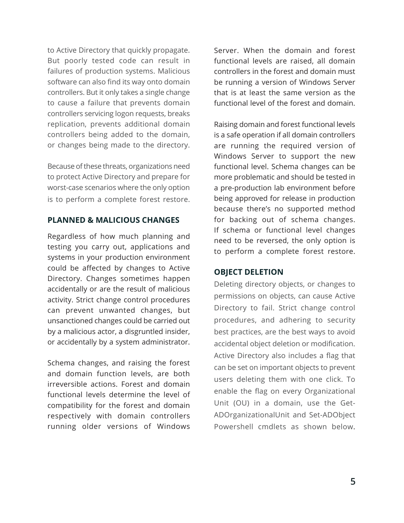to Active Directory that quickly propagate. But poorly tested code can result in failures of production systems. Malicious software can also find its way onto domain controllers. But it only takes a single change to cause a failure that prevents domain controllers servicing logon requests, breaks replication, prevents additional domain controllers being added to the domain, or changes being made to the directory.

Because of these threats, organizations need to protect Active Directory and prepare for worst-case scenarios where the only option is to perform a complete forest restore.

#### **PLANNED & MALICIOUS CHANGES**

Regardless of how much planning and testing you carry out, applications and systems in your production environment could be affected by changes to Active Directory. Changes sometimes happen accidentally or are the result of malicious activity. Strict change control procedures can prevent unwanted changes, but unsanctioned changes could be carried out by a malicious actor, a disgruntled insider, or accidentally by a system administrator.

Schema changes, and raising the forest and domain function levels, are both irreversible actions. Forest and domain functional levels determine the level of compatibility for the forest and domain respectively with domain controllers running older versions of Windows

Server. When the domain and forest functional levels are raised, all domain controllers in the forest and domain must be running a version of Windows Server that is at least the same version as the functional level of the forest and domain.

Raising domain and forest functional levels is a safe operation if all domain controllers are running the required version of Windows Server to support the new functional level. Schema changes can be more problematic and should be tested in a pre-production lab environment before being approved for release in production because there's no supported method for backing out of schema changes. If schema or functional level changes need to be reversed, the only option is to perform a complete forest restore.

#### **OBJECT DELETION**

Deleting directory objects, or changes to permissions on objects, can cause Active Directory to fail. Strict change control procedures, and adhering to security best practices, are the best ways to avoid accidental object deletion or modification. Active Directory also includes a flag that can be set on important objects to prevent users deleting them with one click. To enable the flag on every Organizational Unit (OU) in a domain, use the Get-ADOrganizationalUnit and Set-ADObject Powershell cmdlets as shown below.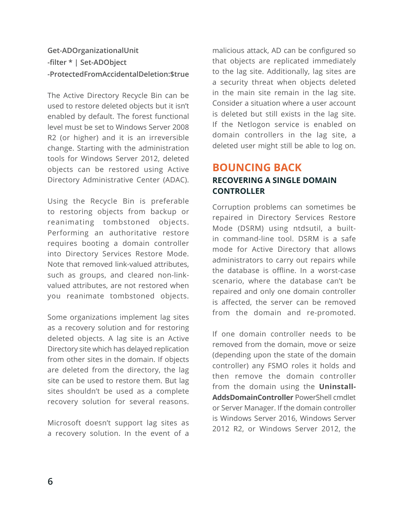### **Get-ADOrganizationalUnit -filter \* | Set-ADObject -ProtectedFromAccidentalDeletion:\$true**

The Active Directory Recycle Bin can be used to restore deleted objects but it isn't enabled by default. The forest functional level must be set to Windows Server 2008 R2 (or higher) and it is an irreversible change. Starting with the administration tools for Windows Server 2012, deleted objects can be restored using Active Directory Administrative Center (ADAC).

Using the Recycle Bin is preferable to restoring objects from backup or reanimating tombstoned objects. Performing an authoritative restore requires booting a domain controller into Directory Services Restore Mode. Note that removed link-valued attributes, such as groups, and cleared non-linkvalued attributes, are not restored when you reanimate tombstoned objects.

Some organizations implement lag sites as a recovery solution and for restoring deleted objects. A lag site is an Active Directory site which has delayed replication from other sites in the domain. If objects are deleted from the directory, the lag site can be used to restore them. But lag sites shouldn't be used as a complete recovery solution for several reasons.

Microsoft doesn't support lag sites as a recovery solution. In the event of a

malicious attack, AD can be configured so that objects are replicated immediately to the lag site. Additionally, lag sites are a security threat when objects deleted in the main site remain in the lag site. Consider a situation where a user account is deleted but still exists in the lag site. If the Netlogon service is enabled on domain controllers in the lag site, a deleted user might still be able to log on.

### **BOUNCING BACK RECOVERING A SINGLE DOMAIN CONTROLLER**

Corruption problems can sometimes be repaired in Directory Services Restore Mode (DSRM) using ntdsutil, a builtin command-line tool. DSRM is a safe mode for Active Directory that allows administrators to carry out repairs while the database is offline. In a worst-case scenario, where the database can't be repaired and only one domain controller is affected, the server can be removed from the domain and re-promoted.

If one domain controller needs to be removed from the domain, move or seize (depending upon the state of the domain controller) any FSMO roles it holds and then remove the domain controller from the domain using the **Uninstall-AddsDomainController** PowerShell cmdlet or Server Manager. If the domain controller is Windows Server 2016, Windows Server 2012 R2, or Windows Server 2012, the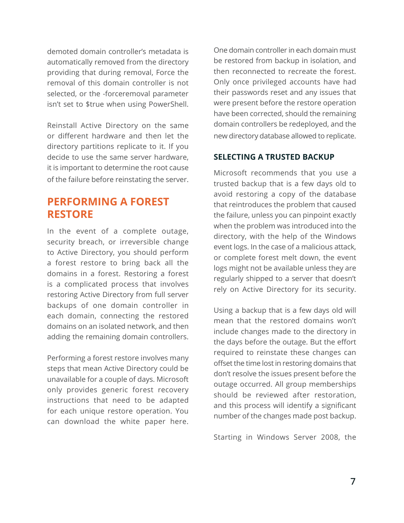demoted domain controller's metadata is automatically removed from the directory providing that during removal, Force the removal of this domain controller is not selected, or the -forceremoval parameter isn't set to \$true when using PowerShell.

Reinstall Active Directory on the same or different hardware and then let the directory partitions replicate to it. If you decide to use the same server hardware, it is important to determine the root cause of the failure before reinstating the server.

# **PERFORMING A FOREST RESTORE**

In the event of a complete outage, security breach, or irreversible change to Active Directory, you should perform a forest restore to bring back all the domains in a forest. Restoring a forest is a complicated process that involves restoring Active Directory from full server backups of one domain controller in each domain, connecting the restored domains on an isolated network, and then adding the remaining domain controllers.

Performing a forest restore involves many steps that mean Active Directory could be unavailable for a couple of days. Microsoft only provides generic forest recovery instructions that need to be adapted for each unique restore operation. You can download the white paper here. One domain controller in each domain must be restored from backup in isolation, and then reconnected to recreate the forest. Only once privileged accounts have had their passwords reset and any issues that were present before the restore operation have been corrected, should the remaining domain controllers be redeployed, and the new directory database allowed to replicate.

### **SELECTING A TRUSTED BACKUP**

Microsoft recommends that you use a trusted backup that is a few days old to avoid restoring a copy of the database that reintroduces the problem that caused the failure, unless you can pinpoint exactly when the problem was introduced into the directory, with the help of the Windows event logs. In the case of a malicious attack, or complete forest melt down, the event logs might not be available unless they are regularly shipped to a server that doesn't rely on Active Directory for its security.

Using a backup that is a few days old will mean that the restored domains won't include changes made to the directory in the days before the outage. But the effort required to reinstate these changes can offset the time lost in restoring domains that don't resolve the issues present before the outage occurred. All group memberships should be reviewed after restoration, and this process will identify a significant number of the changes made post backup.

Starting in Windows Server 2008, the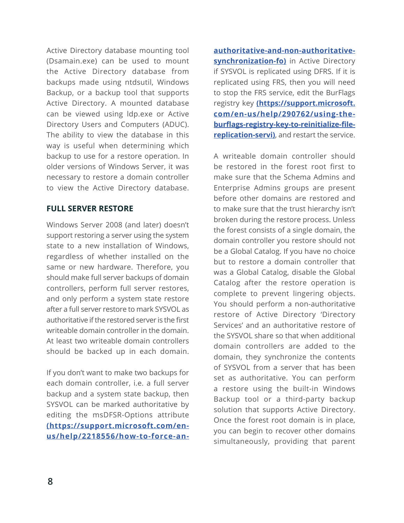Active Directory database mounting tool (Dsamain.exe) can be used to mount the Active Directory database from backups made using ntdsutil, Windows Backup, or a backup tool that supports Active Directory. A mounted database can be viewed using ldp.exe or Active Directory Users and Computers (ADUC). The ability to view the database in this way is useful when determining which backup to use for a restore operation. In older versions of Windows Server, it was necessary to restore a domain controller to view the Active Directory database.

### **FULL SERVER RESTORE**

Windows Server 2008 (and later) doesn't support restoring a server using the system state to a new installation of Windows, regardless of whether installed on the same or new hardware. Therefore, you should make full server backups of domain controllers, perform full server restores, and only perform a system state restore after a full server restore to mark SYSVOL as authoritative if the restored server is the first writeable domain controller in the domain. At least two writeable domain controllers should be backed up in each domain.

If you don't want to make two backups for each domain controller, i.e. a full server backup and a system state backup, then SYSVOL can be marked authoritative by editing the msDFSR-Options attribute **[\(https://support.microsoft.com/en](https://support.microsoft.com/en-us/help/2218556/how-to-force-an-authoritative-and-non-authoritative-synchronization-fo)[us/help/2218556/how-to-force-an-](https://support.microsoft.com/en-us/help/2218556/how-to-force-an-authoritative-and-non-authoritative-synchronization-fo)** **[authoritative-and-non-authoritative](https://support.microsoft.com/en-us/help/2218556/how-to-force-an-authoritative-and-non-authoritative-synchronization-fo)[synchronization-fo\)](https://support.microsoft.com/en-us/help/2218556/how-to-force-an-authoritative-and-non-authoritative-synchronization-fo)** in Active Directory if SYSVOL is replicated using DFRS. If it is replicated using FRS, then you will need to stop the FRS service, edit the BurFlags registry key **[\(https://support.microsoft.](https://support.microsoft.com/en-us/help/290762/using-the-burflags-registry-key-to-reinitialize-file-replication-servi) [com/en-us/help/290762/using-the](https://support.microsoft.com/en-us/help/290762/using-the-burflags-registry-key-to-reinitialize-file-replication-servi)[burflags-registry-key-to-reinitialize-file](https://support.microsoft.com/en-us/help/290762/using-the-burflags-registry-key-to-reinitialize-file-replication-servi)[replication-servi\)](https://support.microsoft.com/en-us/help/290762/using-the-burflags-registry-key-to-reinitialize-file-replication-servi)**, and restart the service.

A writeable domain controller should be restored in the forest root first to make sure that the Schema Admins and Enterprise Admins groups are present before other domains are restored and to make sure that the trust hierarchy isn't broken during the restore process. Unless the forest consists of a single domain, the domain controller you restore should not be a Global Catalog. If you have no choice but to restore a domain controller that was a Global Catalog, disable the Global Catalog after the restore operation is complete to prevent lingering objects. You should perform a non-authoritative restore of Active Directory 'Directory Services' and an authoritative restore of the SYSVOL share so that when additional domain controllers are added to the domain, they synchronize the contents of SYSVOL from a server that has been set as authoritative. You can perform a restore using the built-in Windows Backup tool or a third-party backup solution that supports Active Directory. Once the forest root domain is in place, you can begin to recover other domains simultaneously, providing that parent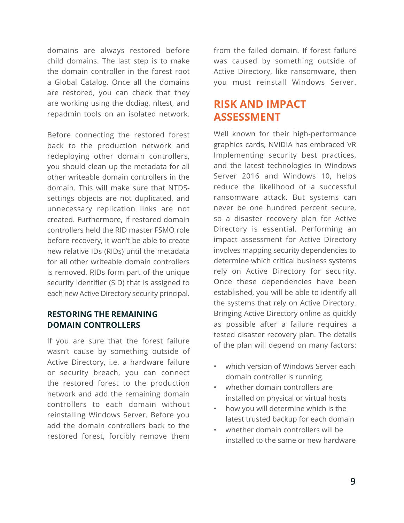domains are always restored before child domains. The last step is to make the domain controller in the forest root a Global Catalog. Once all the domains are restored, you can check that they are working using the dcdiag, nltest, and repadmin tools on an isolated network.

Before connecting the restored forest back to the production network and redeploying other domain controllers, you should clean up the metadata for all other writeable domain controllers in the domain. This will make sure that NTDSsettings objects are not duplicated, and unnecessary replication links are not created. Furthermore, if restored domain controllers held the RID master FSMO role before recovery, it won't be able to create new relative IDs (RIDs) until the metadata for all other writeable domain controllers is removed. RIDs form part of the unique security identifier (SID) that is assigned to each new Active Directory security principal.

### **RESTORING THE REMAINING DOMAIN CONTROLLERS**

If you are sure that the forest failure wasn't cause by something outside of Active Directory, i.e. a hardware failure or security breach, you can connect the restored forest to the production network and add the remaining domain controllers to each domain without reinstalling Windows Server. Before you add the domain controllers back to the restored forest, forcibly remove them

from the failed domain. If forest failure was caused by something outside of Active Directory, like ransomware, then you must reinstall Windows Server.

# **RISK AND IMPACT ASSESSMENT**

Well known for their high-performance graphics cards, NVIDIA has embraced VR Implementing security best practices, and the latest technologies in Windows Server 2016 and Windows 10, helps reduce the likelihood of a successful ransomware attack. But systems can never be one hundred percent secure, so a disaster recovery plan for Active Directory is essential. Performing an impact assessment for Active Directory involves mapping security dependencies to determine which critical business systems rely on Active Directory for security. Once these dependencies have been established, you will be able to identify all the systems that rely on Active Directory. Bringing Active Directory online as quickly as possible after a failure requires a tested disaster recovery plan. The details of the plan will depend on many factors:

- which version of Windows Server each domain controller is running
- whether domain controllers are installed on physical or virtual hosts
- how you will determine which is the latest trusted backup for each domain
- whether domain controllers will be installed to the same or new hardware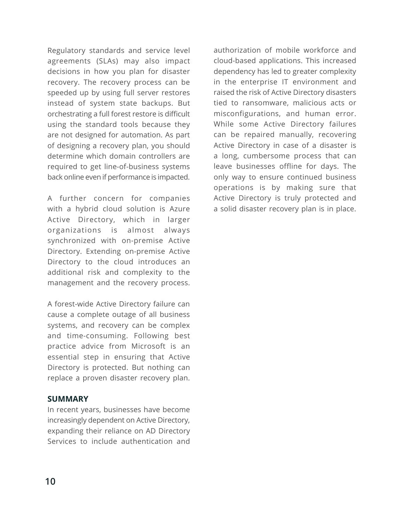Regulatory standards and service level agreements (SLAs) may also impact decisions in how you plan for disaster recovery. The recovery process can be speeded up by using full server restores instead of system state backups. But orchestrating a full forest restore is difficult using the standard tools because they are not designed for automation. As part of designing a recovery plan, you should determine which domain controllers are required to get line-of-business systems back online even if performance is impacted.

A further concern for companies with a hybrid cloud solution is Azure Active Directory, which in larger organizations is almost always synchronized with on-premise Active Directory. Extending on-premise Active Directory to the cloud introduces an additional risk and complexity to the management and the recovery process.

A forest-wide Active Directory failure can cause a complete outage of all business systems, and recovery can be complex and time-consuming. Following best practice advice from Microsoft is an essential step in ensuring that Active Directory is protected. But nothing can replace a proven disaster recovery plan.

### **SUMMARY**

In recent years, businesses have become increasingly dependent on Active Directory, expanding their reliance on AD Directory Services to include authentication and

authorization of mobile workforce and cloud-based applications. This increased dependency has led to greater complexity in the enterprise IT environment and raised the risk of Active Directory disasters tied to ransomware, malicious acts or misconfigurations, and human error. While some Active Directory failures can be repaired manually, recovering Active Directory in case of a disaster is a long, cumbersome process that can leave businesses offline for days. The only way to ensure continued business operations is by making sure that Active Directory is truly protected and a solid disaster recovery plan is in place.